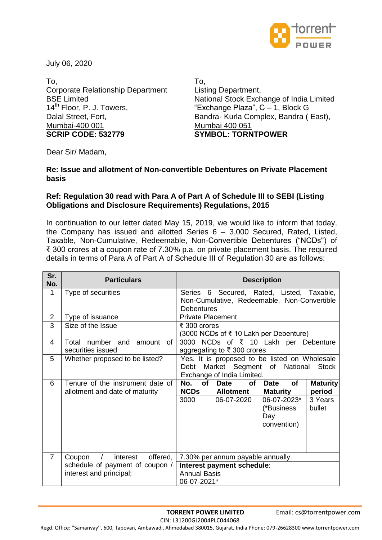

July 06, 2020

To, Corporate Relationship Department BSE Limited 14<sup>th</sup> Floor, P. J. Towers, Dalal Street, Fort, Mumbai-400 001 **SCRIP CODE: 532779**

To, Listing Department, National Stock Exchange of India Limited "Exchange Plaza", C – 1, Block G Bandra- Kurla Complex, Bandra ( East), Mumbai 400 051 **SYMBOL: TORNTPOWER**

Dear Sir/ Madam,

## **Re: Issue and allotment of Non-convertible Debentures on Private Placement basis**

## **Ref: Regulation 30 read with Para A of Part A of Schedule III to SEBI (Listing Obligations and Disclosure Requirements) Regulations, 2015**

In continuation to our letter dated May 15, 2019, we would like to inform that today, the Company has issued and allotted Series 6 – 3,000 Secured, Rated, Listed, Taxable, Non-Cumulative, Redeemable, Non-Convertible Debentures ("NCDs") of ₹ 300 crores at a coupon rate of 7.30% p.a. on private placement basis. The required details in terms of Para A of Part A of Schedule III of Regulation 30 are as follows:

| Sr.<br>No.     | <b>Particulars</b>                                                 | <b>Description</b>                                                                                                                                   |  |  |
|----------------|--------------------------------------------------------------------|------------------------------------------------------------------------------------------------------------------------------------------------------|--|--|
| 1              | Type of securities                                                 | Series 6 Secured, Rated, Listed, Taxable,<br>Non-Cumulative, Redeemable, Non-Convertible<br><b>Debentures</b>                                        |  |  |
| $\overline{2}$ | Type of issuance                                                   | <b>Private Placement</b>                                                                                                                             |  |  |
| $\overline{3}$ | Size of the Issue                                                  | ₹ 300 crores<br>(3000 NCDs of ₹ 10 Lakh per Debenture)                                                                                               |  |  |
| 4              | Total number and<br>0f<br>amount<br>securities issued              | 3000 NCDs of ₹ 10 Lakh per Debenture<br>aggregating to ₹ 300 crores                                                                                  |  |  |
| 5              | Whether proposed to be listed?                                     | Yes. It is proposed to be listed on Wholesale<br>Market Segment of<br>National<br><b>Stock</b><br>Debt<br>Exchange of India Limited.                 |  |  |
| 6              | Tenure of the instrument date of<br>allotment and date of maturity | of<br><b>of</b><br><b>of</b><br>No.<br><b>Date</b><br><b>Maturity</b><br><b>Date</b><br>period<br><b>NCDs</b><br><b>Maturity</b><br><b>Allotment</b> |  |  |
|                |                                                                    | 3000<br>3 Years<br>06-07-2020<br>06-07-2023*<br>(*Business<br>bullet<br>Day<br>convention)                                                           |  |  |
| $\overline{7}$ | offered,<br>Coupon<br>interest<br>$\sqrt{2}$                       | 7.30% per annum payable annually.                                                                                                                    |  |  |
|                | schedule of payment of coupon /<br>interest and principal;         | Interest payment schedule:<br><b>Annual Basis</b><br>06-07-2021*                                                                                     |  |  |

**TORRENT POWER LIMITED** Email: cs@torrentpower.com

CIN: L31200GJ2004PLC044068

Regd. Office: ''Samanvay'', 600, Tapovan, Ambawadi, Ahmedabad 380015, Gujarat, India Phone: 079-26628300 www.torrentpower.com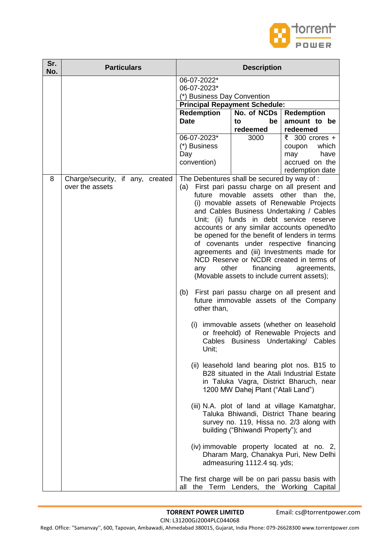

| Sr.<br>No. | <b>Particulars</b>                                  | <b>Description</b>                                                                                                                    |                                                                                                                                                                      |                                                                                                                                                                                                                                                                                                                                                                                                                                                                                                                                                                                                                                                                                                                                                                                                                                                                                                                                                                                                                                                                                                                                                                   |
|------------|-----------------------------------------------------|---------------------------------------------------------------------------------------------------------------------------------------|----------------------------------------------------------------------------------------------------------------------------------------------------------------------|-------------------------------------------------------------------------------------------------------------------------------------------------------------------------------------------------------------------------------------------------------------------------------------------------------------------------------------------------------------------------------------------------------------------------------------------------------------------------------------------------------------------------------------------------------------------------------------------------------------------------------------------------------------------------------------------------------------------------------------------------------------------------------------------------------------------------------------------------------------------------------------------------------------------------------------------------------------------------------------------------------------------------------------------------------------------------------------------------------------------------------------------------------------------|
|            |                                                     | 06-07-2022*<br>06-07-2023*<br>(*) Business Day Convention<br><b>Principal Repayment Schedule:</b><br><b>Redemption</b><br><b>Date</b> | No. of NCDs<br>be<br>to                                                                                                                                              | <b>Redemption</b><br>amount to be                                                                                                                                                                                                                                                                                                                                                                                                                                                                                                                                                                                                                                                                                                                                                                                                                                                                                                                                                                                                                                                                                                                                 |
|            |                                                     | 06-07-2023*<br>(*) Business<br>Day<br>convention)                                                                                     | redeemed<br>3000                                                                                                                                                     | redeemed<br>₹ 300 crores +<br>which<br>coupon<br>have<br>may<br>accrued on the<br>redemption date                                                                                                                                                                                                                                                                                                                                                                                                                                                                                                                                                                                                                                                                                                                                                                                                                                                                                                                                                                                                                                                                 |
| 8          | Charge/security, if any, created<br>over the assets | The Debentures shall be secured by way of :<br>(a)<br>other<br>any<br>(b)<br>other than,<br>(i)<br>Unit;<br>all                       | financing<br>(Movable assets to include current assets);<br>1200 MW Dahej Plant ("Atali Land")<br>building ("Bhiwandi Property"); and<br>admeasuring 1112.4 sq. yds; | First pari passu charge on all present and<br>future movable assets other than the,<br>(i) movable assets of Renewable Projects<br>and Cables Business Undertaking / Cables<br>Unit; (ii) funds in debt service reserve<br>accounts or any similar accounts opened/to<br>be opened for the benefit of lenders in terms<br>of covenants under respective financing<br>agreements and (iii) Investments made for<br>NCD Reserve or NCDR created in terms of<br>agreements,<br>First pari passu charge on all present and<br>future immovable assets of the Company<br>immovable assets (whether on leasehold<br>or freehold) of Renewable Projects and<br>Cables Business Undertaking/ Cables<br>(ii) leasehold land bearing plot nos. B15 to<br>B28 situated in the Atali Industrial Estate<br>in Taluka Vagra, District Bharuch, near<br>(iii) N.A. plot of land at village Kamatghar,<br>Taluka Bhiwandi, District Thane bearing<br>survey no. 119, Hissa no. 2/3 along with<br>(iv) immovable property located at no. 2,<br>Dharam Marg, Chanakya Puri, New Delhi<br>The first charge will be on pari passu basis with<br>the Term Lenders, the Working Capital |

CIN: L31200GJ2004PLC044068

Regd. Office: ''Samanvay'', 600, Tapovan, Ambawadi, Ahmedabad 380015, Gujarat, India Phone: 079-26628300 www.torrentpower.com